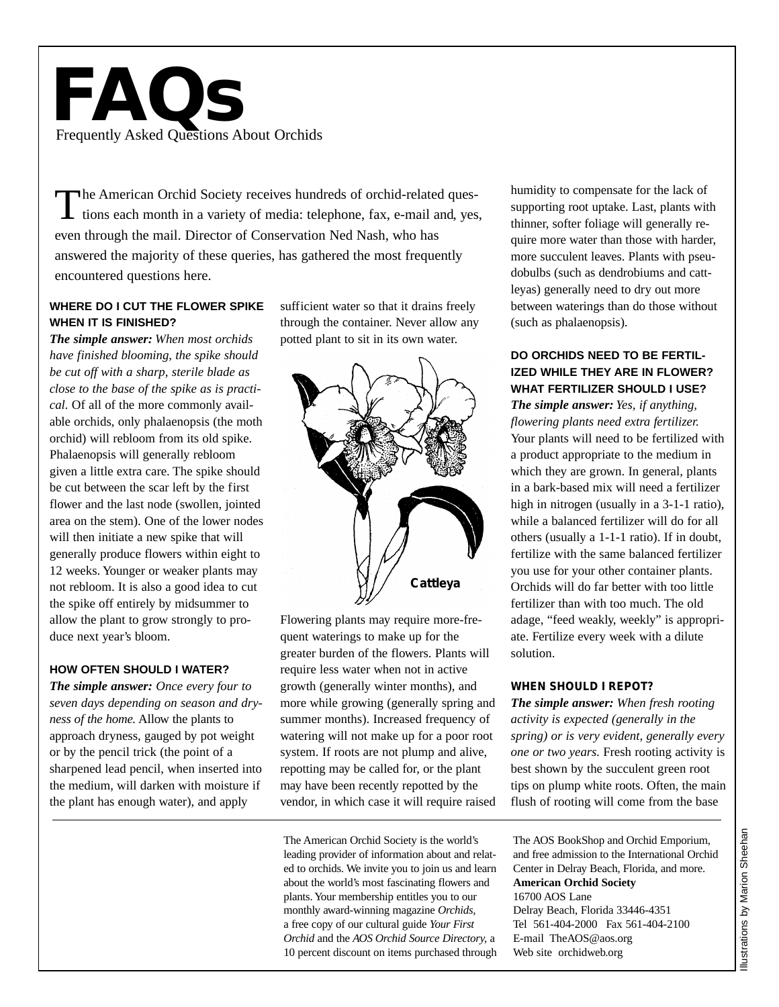# **FAQs** Frequently Asked Questions About Orchids

The American Orchid Society receives hundreds of orchid-related questions each month in a variety of media: telephone, fax, e-mail and, yes, even through the mail. Director of Conservation Ned Nash, who has answered the majority of these queries, has gathered the most frequently encountered questions here.

# **WHERE DO I CUT THE FLOWER SPIKE WHEN IT IS FINISHED?**

*The simple answer: When most orchids have finished blooming, the spike should be cut off with a sharp, sterile blade as close to the base of the spike as is practical.* Of all of the more commonly available orchids, only phalaenopsis (the moth orchid) will rebloom from its old spike. Phalaenopsis will generally rebloom given a little extra care. The spike should be cut between the scar left by the first flower and the last node (swollen, jointed area on the stem). One of the lower nodes will then initiate a new spike that will generally produce flowers within eight to 12 weeks. Younger or weaker plants may not rebloom. It is also a good idea to cut the spike off entirely by midsummer to allow the plant to grow strongly to produce next year's bloom.

#### **HOW OFTEN SHOULD I WATER?**

*The simple answer: Once every four to seven days depending on season and dryness of the home.* Allow the plants to approach dryness, gauged by pot weight or by the pencil trick (the point of a sharpened lead pencil, when inserted into the medium, will darken with moisture if the plant has enough water), and apply

sufficient water so that it drains freely through the container. Never allow any potted plant to sit in its own water.



Flowering plants may require more-frequent waterings to make up for the greater burden of the flowers. Plants will require less water when not in active growth (generally winter months), and more while growing (generally spring and summer months). Increased frequency of watering will not make up for a poor root system. If roots are not plump and alive, repotting may be called for, or the plant may have been recently repotted by the vendor, in which case it will require raised

The American Orchid Society is the world's leading provider of information about and related to orchids. We invite you to join us and learn about the world's most fascinating flowers and plants. Your membership entitles you to our monthly award-winning magazine *Orchids,* a free copy of our cultural guide *Your First Orchid* and the *AOS Orchid Source Directory,* a 10 percent discount on items purchased through humidity to compensate for the lack of supporting root uptake. Last, plants with thinner, softer foliage will generally require more water than those with harder, more succulent leaves. Plants with pseudobulbs (such as dendrobiums and cattleyas) generally need to dry out more between waterings than do those without (such as phalaenopsis).

#### **DO ORCHIDS NEED TO BE FERTIL-IZED WHILE THEY ARE IN FLOWER? WHAT FERTILIZER SHOULD I USE?**

*The simple answer: Yes, if anything, flowering plants need extra fertilizer.*  Your plants will need to be fertilized with a product appropriate to the medium in which they are grown. In general, plants in a bark-based mix will need a fertilizer high in nitrogen (usually in a 3-1-1 ratio), while a balanced fertilizer will do for all others (usually a 1-1-1 ratio). If in doubt, fertilize with the same balanced fertilizer you use for your other container plants. Orchids will do far better with too little fertilizer than with too much. The old adage, "feed weakly, weekly" is appropriate. Fertilize every week with a dilute solution.

#### **WHEN SHOULD I REPOT?**

*The simple answer: When fresh rooting activity is expected (generally in the spring) or is very evident, generally every one or two years.* Fresh rooting activity is best shown by the succulent green root tips on plump white roots. Often, the main flush of rooting will come from the base

The AOS BookShop and Orchid Emporium, and free admission to the International Orchid Center in Delray Beach, Florida, and more. **American Orchid Society** 16700 AOS Lane Delray Beach, Florida 33446-4351 Tel 561-404-2000 Fax 561-404-2100 E-mail TheAOS@aos.org Web site orchidweb.org